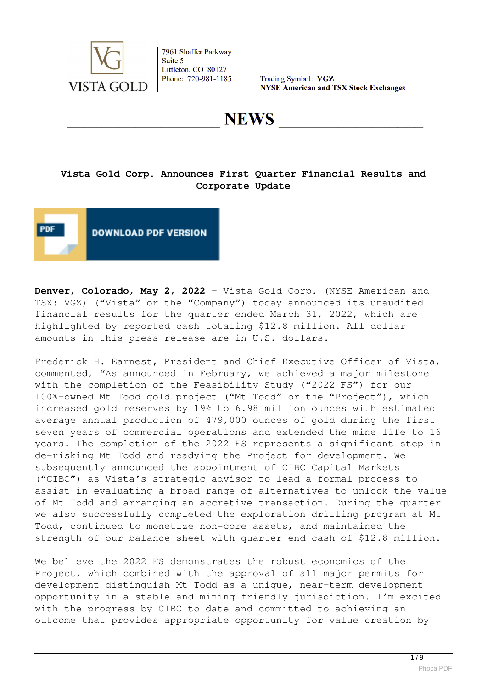

Trading Symbol: VGZ **NYSE American and TSX Stock Exchanges** 

**NEWS** 

## **Vista Gold Corp. Announces First Quarter Financial Results and Corporate Update**



**Denver, Colorado, May 2, 2022** – Vista Gold Corp. (NYSE American and TSX: VGZ) ("Vista" or the "Company") today announced its unaudited financial results for the quarter ended March 31, 2022, which are highlighted by reported cash totaling \$12.8 million. All dollar amounts in this press release are in U.S. dollars.

Frederick H. Earnest, President and Chief Executive Officer of Vista, commented, "As announced in February, we achieved a major milestone with the completion of the Feasibility Study ("2022 FS") for our 100%-owned Mt Todd gold project ("Mt Todd" or the "Project"), which increased gold reserves by 19% to 6.98 million ounces with estimated average annual production of 479,000 ounces of gold during the first seven years of commercial operations and extended the mine life to 16 years. The completion of the 2022 FS represents a significant step in de-risking Mt Todd and readying the Project for development. We subsequently announced the appointment of CIBC Capital Markets ("CIBC") as Vista's strategic advisor to lead a formal process to assist in evaluating a broad range of alternatives to unlock the value of Mt Todd and arranging an accretive transaction. During the quarter we also successfully completed the exploration drilling program at Mt Todd, continued to monetize non-core assets, and maintained the strength of our balance sheet with quarter end cash of \$12.8 million.

We believe the 2022 FS demonstrates the robust economics of the Project, which combined with the approval of all major permits for development distinguish Mt Todd as a unique, near-term development opportunity in a stable and mining friendly jurisdiction. I'm excited with the progress by CIBC to date and committed to achieving an outcome that provides appropriate opportunity for value creation by

 $1/9$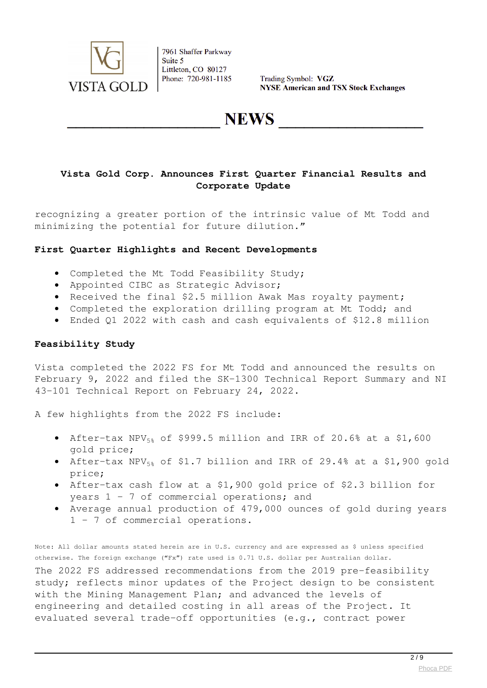

Trading Symbol: VGZ **NYSE American and TSX Stock Exchanges** 

**NEWS** 

## **Vista Gold Corp. Announces First Quarter Financial Results and Corporate Update**

recognizing a greater portion of the intrinsic value of Mt Todd and minimizing the potential for future dilution."

#### **First Quarter Highlights and Recent Developments**

- Completed the Mt Todd Feasibility Study;
- Appointed CIBC as Strategic Advisor;
- Received the final \$2.5 million Awak Mas royalty payment;
- Completed the exploration drilling program at Mt Todd; and
- Ended Q1 2022 with cash and cash equivalents of \$12.8 million

#### **Feasibility Study**

Vista completed the 2022 FS for Mt Todd and announced the results on February 9, 2022 and filed the SK-1300 Technical Report Summary and NI 43-101 Technical Report on February 24, 2022.

A few highlights from the 2022 FS include:

- After-tax NPV<sub>5%</sub> of \$999.5 million and IRR of 20.6% at a \$1,600 gold price;
- After-tax NPV $_{58}$  of \$1.7 billion and IRR of 29.4% at a \$1,900 gold price;
- After-tax cash flow at a \$1,900 gold price of \$2.3 billion for years 1 – 7 of commercial operations; and
- Average annual production of 479,000 ounces of gold during years 1 – 7 of commercial operations.

Note: All dollar amounts stated herein are in U.S. currency and are expressed as \$ unless specified otherwise. The foreign exchange ("Fx") rate used is 0.71 U.S. dollar per Australian dollar.

The 2022 FS addressed recommendations from the 2019 pre-feasibility study; reflects minor updates of the Project design to be consistent with the Mining Management Plan; and advanced the levels of engineering and detailed costing in all areas of the Project. It evaluated several trade-off opportunities (e.g., contract power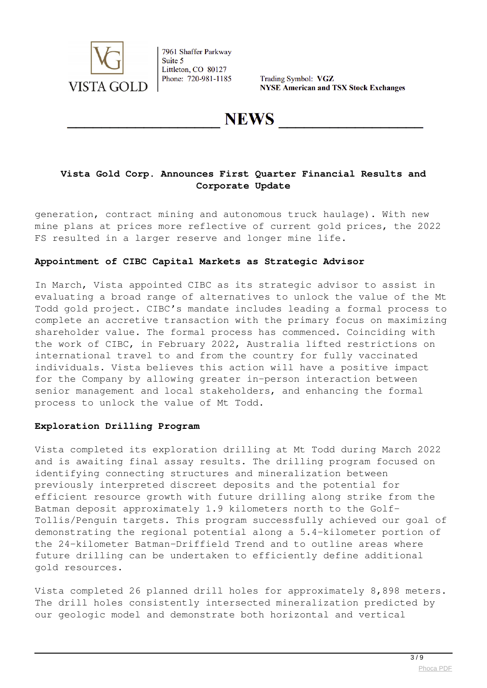

Trading Symbol: VGZ **NYSE American and TSX Stock Exchanges** 

## **NEWS**

## **Vista Gold Corp. Announces First Quarter Financial Results and Corporate Update**

generation, contract mining and autonomous truck haulage). With new mine plans at prices more reflective of current gold prices, the 2022 FS resulted in a larger reserve and longer mine life.

#### **Appointment of CIBC Capital Markets as Strategic Advisor**

In March, Vista appointed CIBC as its strategic advisor to assist in evaluating a broad range of alternatives to unlock the value of the Mt Todd gold project. CIBC's mandate includes leading a formal process to complete an accretive transaction with the primary focus on maximizing shareholder value. The formal process has commenced. Coinciding with the work of CIBC, in February 2022, Australia lifted restrictions on international travel to and from the country for fully vaccinated individuals. Vista believes this action will have a positive impact for the Company by allowing greater in-person interaction between senior management and local stakeholders, and enhancing the formal process to unlock the value of Mt Todd.

#### **Exploration Drilling Program**

Vista completed its exploration drilling at Mt Todd during March 2022 and is awaiting final assay results. The drilling program focused on identifying connecting structures and mineralization between previously interpreted discreet deposits and the potential for efficient resource growth with future drilling along strike from the Batman deposit approximately 1.9 kilometers north to the Golf-Tollis/Penguin targets. This program successfully achieved our goal of demonstrating the regional potential along a 5.4-kilometer portion of the 24-kilometer Batman-Driffield Trend and to outline areas where future drilling can be undertaken to efficiently define additional gold resources.

Vista completed 26 planned drill holes for approximately 8,898 meters. The drill holes consistently intersected mineralization predicted by our geologic model and demonstrate both horizontal and vertical

 $\frac{3}{9}$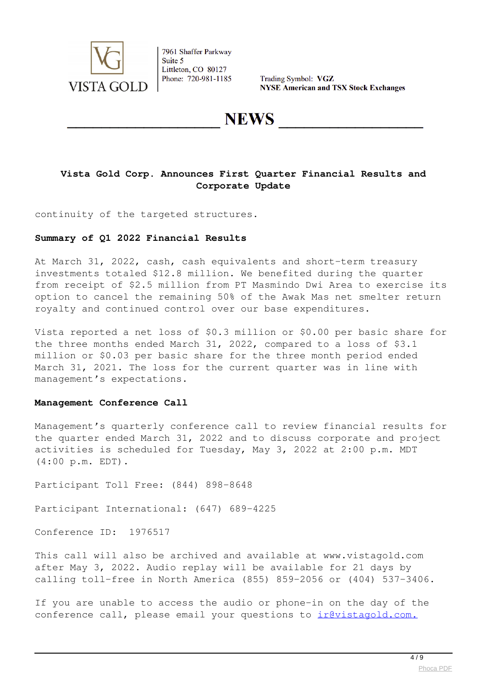

Trading Symbol: VGZ **NYSE American and TSX Stock Exchanges** 

## **NEWS**

### **Vista Gold Corp. Announces First Quarter Financial Results and Corporate Update**

continuity of the targeted structures.

#### **Summary of Q1 2022 Financial Results**

At March 31, 2022, cash, cash equivalents and short-term treasury investments totaled \$12.8 million. We benefited during the quarter from receipt of \$2.5 million from PT Masmindo Dwi Area to exercise its option to cancel the remaining 50% of the Awak Mas net smelter return royalty and continued control over our base expenditures.

Vista reported a net loss of \$0.3 million or \$0.00 per basic share for the three months ended March 31, 2022, compared to a loss of \$3.1 million or \$0.03 per basic share for the three month period ended March 31, 2021. The loss for the current quarter was in line with management's expectations.

#### **Management Conference Call**

Management's quarterly conference call to review financial results for the quarter ended March 31, 2022 and to discuss corporate and project activities is scheduled for Tuesday, May 3, 2022 at 2:00 p.m. MDT (4:00 p.m. EDT).

Participant Toll Free: (844) 898-8648

Participant International: (647) 689-4225

Conference ID: 1976517

This call will also be archived and available at www.vistagold.com after May 3, 2022. Audio replay will be available for 21 days by calling toll-free in North America (855) 859-2056 or (404) 537-3406.

If you are unable to access the audio or phone-in on the day of the conference call, please email your questions to irevistagold.com.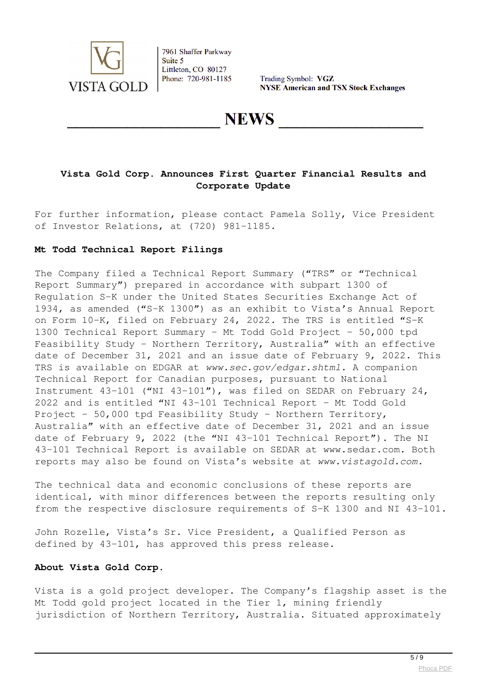

Trading Symbol: VGZ **NYSE American and TSX Stock Exchanges** 

**NEWS** 

## **Vista Gold Corp. Announces First Quarter Financial Results and Corporate Update**

For further information, please contact Pamela Solly, Vice President of Investor Relations, at (720) 981-1185.

#### **Mt Todd Technical Report Filings**

The Company filed a Technical Report Summary ("TRS" or "Technical Report Summary") prepared in accordance with subpart 1300 of Regulation S-K under the United States Securities Exchange Act of 1934, as amended ("S-K 1300") as an exhibit to Vista's Annual Report on Form 10-K, filed on February 24, 2022. The TRS is entitled "S-K 1300 Technical Report Summary – Mt Todd Gold Project – 50,000 tpd Feasibility Study – Northern Territory, Australia" with an effective date of December 31, 2021 and an issue date of February 9, 2022. This TRS is available on EDGAR at *www.sec.gov/edgar.shtml*. A companion Technical Report for Canadian purposes, pursuant to National Instrument 43-101 ("NI 43-101"), was filed on SEDAR on February 24, 2022 and is entitled "NI 43-101 Technical Report – Mt Todd Gold Project - 50,000 tpd Feasibility Study – Northern Territory, Australia" with an effective date of December 31, 2021 and an issue date of February 9, 2022 (the "NI 43-101 Technical Report"). The NI 43-101 Technical Report is available on SEDAR at www.sedar.com. Both reports may also be found on Vista's website at *www.vistagold.com.*

The technical data and economic conclusions of these reports are identical, with minor differences between the reports resulting only from the respective disclosure requirements of S-K 1300 and NI 43-101.

John Rozelle, Vista's Sr. Vice President, a Qualified Person as defined by 43-101, has approved this press release.

#### **About Vista Gold Corp.**

Vista is a gold project developer. The Company's flagship asset is the Mt Todd gold project located in the Tier 1, mining friendly jurisdiction of Northern Territory, Australia. Situated approximately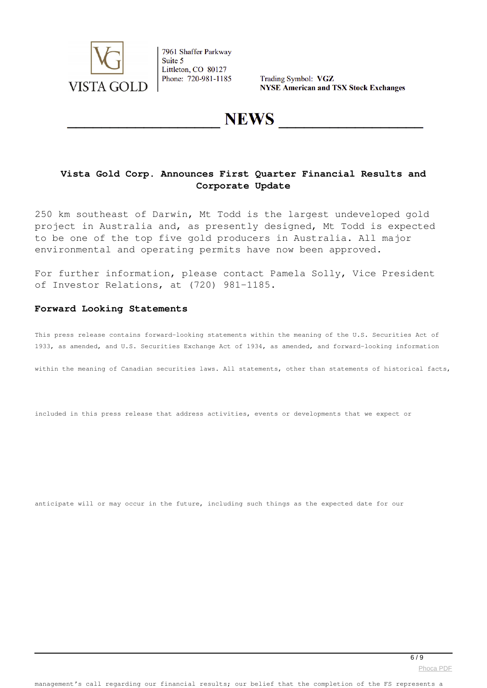

Trading Symbol: VGZ **NYSE American and TSX Stock Exchanges** 

## **NEWS**

### **Vista Gold Corp. Announces First Quarter Financial Results and Corporate Update**

250 km southeast of Darwin, Mt Todd is the largest undeveloped gold project in Australia and, as presently designed, Mt Todd is expected to be one of the top five gold producers in Australia. All major environmental and operating permits have now been approved.

For further information, please contact Pamela Solly, Vice President of Investor Relations, at (720) 981-1185.

#### **Forward Looking Statements**

This press release contains forward-looking statements within the meaning of the U.S. Securities Act of 1933, as amended, and U.S. Securities Exchange Act of 1934, as amended, and forward-looking information

within the meaning of Canadian securities laws. All statements, other than statements of historical facts,

included in this press release that address activities, events or developments that we expect or

anticipate will or may occur in the future, including such things as the expected date for our

[Phoca PDF](http://www.phoca.cz/phocapdf)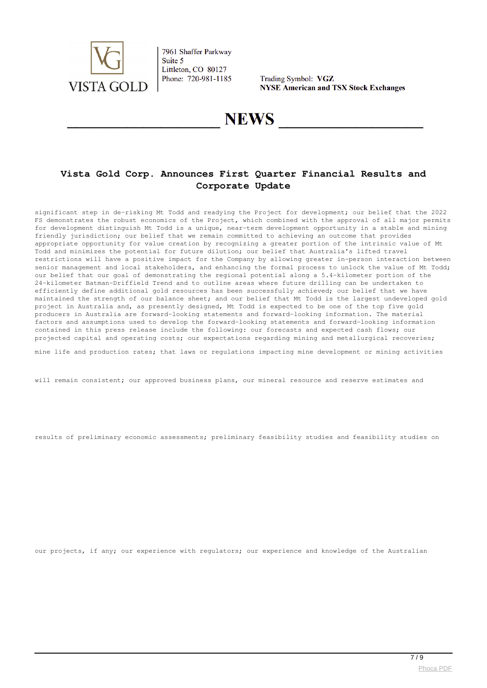

Trading Symbol: VGZ **NYSE American and TSX Stock Exchanges** 

## **NEWS**

## **Vista Gold Corp. Announces First Quarter Financial Results and Corporate Update**

significant step in de-risking Mt Todd and readying the Project for development; our belief that the 2022 FS demonstrates the robust economics of the Project, which combined with the approval of all major permits for development distinguish Mt Todd is a unique, near-term development opportunity in a stable and mining friendly jurisdiction; our belief that we remain committed to achieving an outcome that provides appropriate opportunity for value creation by recognizing a greater portion of the intrinsic value of Mt Todd and minimizes the potential for future dilution; our belief that Australia's lifted travel restrictions will have a positive impact for the Company by allowing greater in-person interaction between senior management and local stakeholders, and enhancing the formal process to unlock the value of Mt Todd; our belief that our goal of demonstrating the regional potential along a 5.4-kilometer portion of the 24-kilometer Batman-Driffield Trend and to outline areas where future drilling can be undertaken to efficiently define additional gold resources has been successfully achieved; our belief that we have maintained the strength of our balance sheet; and our belief that Mt Todd is the largest undeveloped gold project in Australia and, as presently designed, Mt Todd is expected to be one of the top five gold producers in Australia are forward-looking statements and forward-looking information. The material factors and assumptions used to develop the forward-looking statements and forward-looking information contained in this press release include the following: our forecasts and expected cash flows; our projected capital and operating costs; our expectations regarding mining and metallurgical recoveries;

mine life and production rates; that laws or regulations impacting mine development or mining activities

will remain consistent; our approved business plans, our mineral resource and reserve estimates and

results of preliminary economic assessments; preliminary feasibility studies and feasibility studies on

our projects, if any; our experience with regulators; our experience and knowledge of the Australian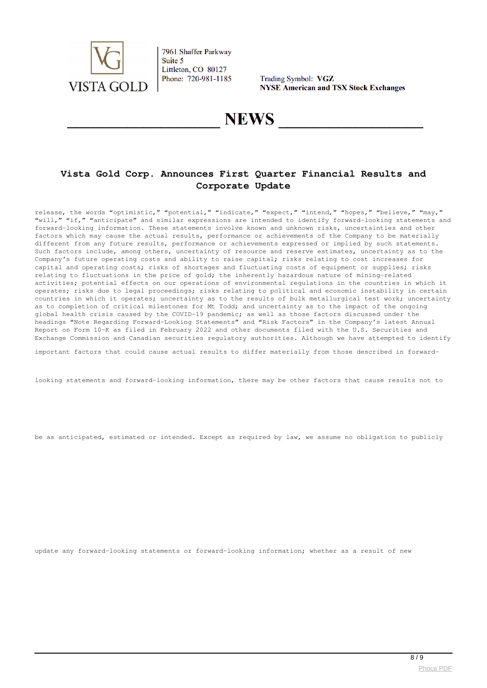

Trading Symbol: VGZ **NYSE American and TSX Stock Exchanges** 

## **NEWS**

## **Vista Gold Corp. Announces First Quarter Financial Results and Corporate Update**

release, the words "optimistic," "potential," "indicate," "expect," "intend," "hopes," "believe," "may," "will," "if," "anticipate" and similar expressions are intended to identify forward-looking statements and forward-looking information. These statements involve known and unknown risks, uncertainties and other factors which may cause the actual results, performance or achievements of the Company to be materially different from any future results, performance or achievements expressed or implied by such statements. Such factors include, among others, uncertainty of resource and reserve estimates, uncertainty as to the Company's future operating costs and ability to raise capital; risks relating to cost increases for capital and operating costs; risks of shortages and fluctuating costs of equipment or supplies; risks relating to fluctuations in the price of gold; the inherently hazardous nature of mining-related activities; potential effects on our operations of environmental regulations in the countries in which it operates; risks due to legal proceedings; risks relating to political and economic instability in certain countries in which it operates; uncertainty as to the results of bulk metallurgical test work; uncertainty as to completion of critical milestones for Mt Todd; and uncertainty as to the impact of the ongoing global health crisis caused by the COVID-19 pandemic; as well as those factors discussed under the headings "Note Regarding Forward-Looking Statements" and "Risk Factors" in the Company's latest Annual Report on Form 10-K as filed in February 2022 and other documents filed with the U.S. Securities and Exchange Commission and Canadian securities regulatory authorities. Although we have attempted to identify

important factors that could cause actual results to differ materially from those described in forward-

looking statements and forward-looking information, there may be other factors that cause results not to

be as anticipated, estimated or intended. Except as required by law, we assume no obligation to publicly

update any forward-looking statements or forward-looking information; whether as a result of new